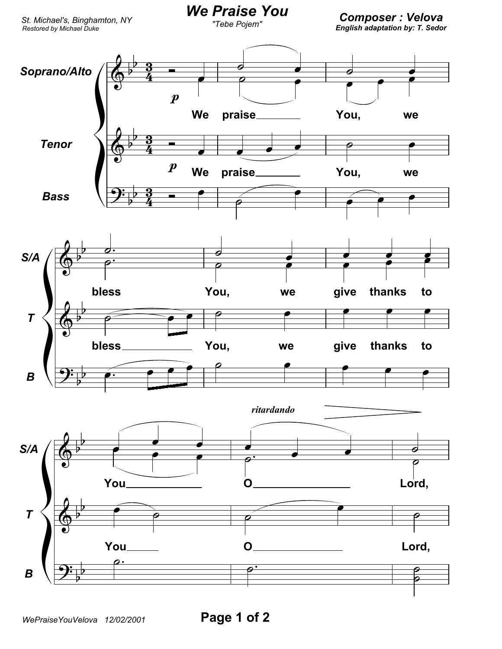